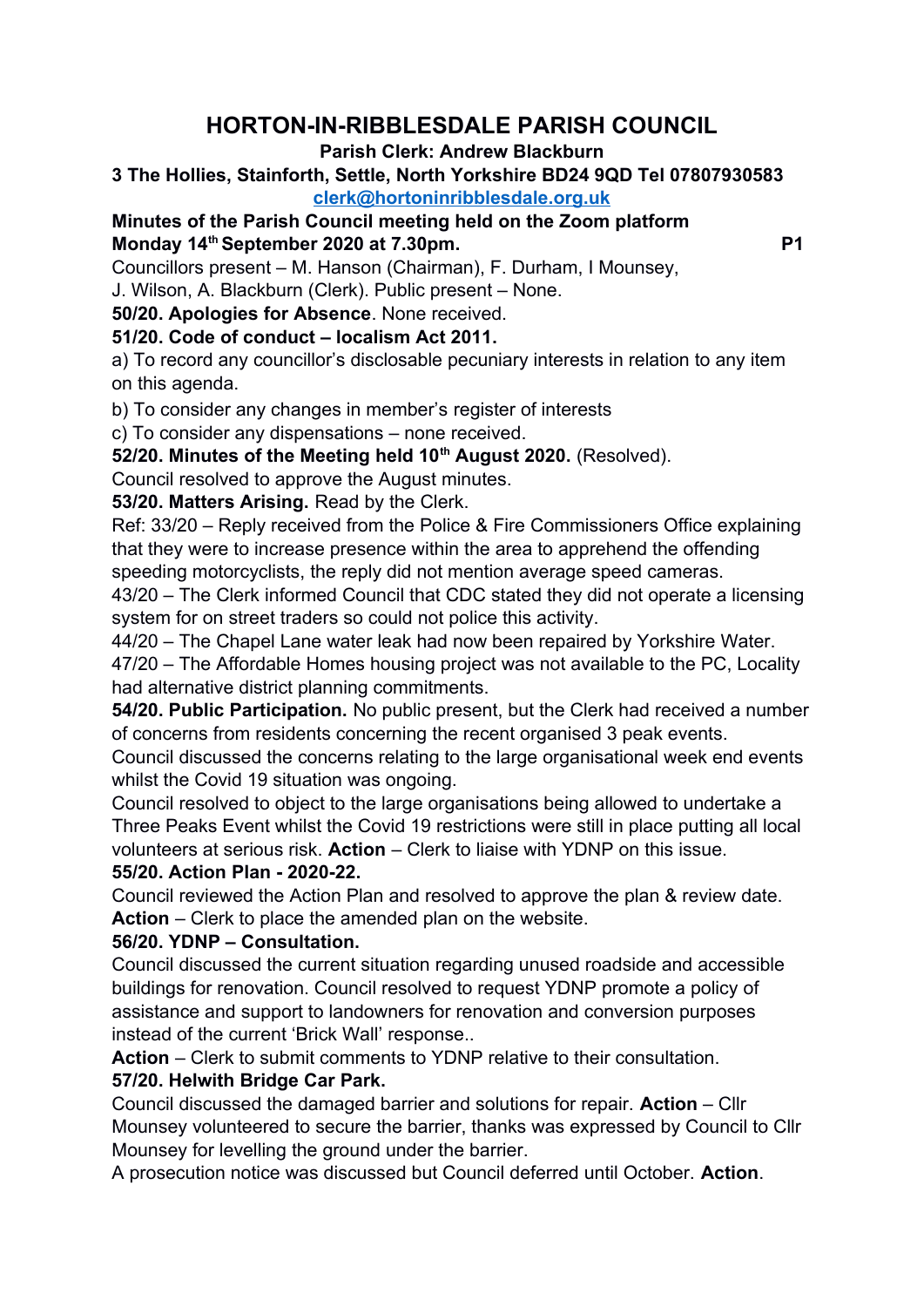# **HORTON-IN-RIBBLESDALE PARISH COUNCIL**

#### **Parish Clerk: Andrew Blackburn**

#### **3 The Hollies, Stainforth, Settle, North Yorkshire BD24 9QD Tel 07807930583 [clerk@hortoninribblesdale.org.uk](mailto:clerk@hortoninribblesdale.org.uk)**

# **Minutes of the Parish Council meeting held on the Zoom platform Monday 14<sup>th</sup> September 2020 at 7.30pm.** P1

Councillors present – M. Hanson (Chairman), F. Durham, I Mounsey,

J. Wilson, A. Blackburn (Clerk). Public present – None.

**50/20. Apologies for Absence**. None received.

### **51/20. Code of conduct – localism Act 2011.**

a) To record any councillor's disclosable pecuniary interests in relation to any item on this agenda.

b) To consider any changes in member's register of interests

c) To consider any dispensations – none received.

**52/20. Minutes of the Meeting held 10th August 2020.** (Resolved).

Council resolved to approve the August minutes.

# **53/20. Matters Arising.** Read by the Clerk.

Ref: 33/20 – Reply received from the Police & Fire Commissioners Office explaining that they were to increase presence within the area to apprehend the offending speeding motorcyclists, the reply did not mention average speed cameras.

43/20 – The Clerk informed Council that CDC stated they did not operate a licensing system for on street traders so could not police this activity.

44/20 – The Chapel Lane water leak had now been repaired by Yorkshire Water.

47/20 – The Affordable Homes housing project was not available to the PC, Locality had alternative district planning commitments.

**54/20. Public Participation.** No public present, but the Clerk had received a number of concerns from residents concerning the recent organised 3 peak events.

Council discussed the concerns relating to the large organisational week end events whilst the Covid 19 situation was ongoing.

Council resolved to object to the large organisations being allowed to undertake a Three Peaks Event whilst the Covid 19 restrictions were still in place putting all local volunteers at serious risk. **Action** – Clerk to liaise with YDNP on this issue. **55/20. Action Plan - 2020-22.**

Council reviewed the Action Plan and resolved to approve the plan & review date. **Action** – Clerk to place the amended plan on the website.

# **56/20. YDNP – Consultation.**

Council discussed the current situation regarding unused roadside and accessible buildings for renovation. Council resolved to request YDNP promote a policy of assistance and support to landowners for renovation and conversion purposes instead of the current 'Brick Wall' response..

**Action** – Clerk to submit comments to YDNP relative to their consultation.

# **57/20. Helwith Bridge Car Park.**

Council discussed the damaged barrier and solutions for repair. **Action** – Cllr Mounsey volunteered to secure the barrier, thanks was expressed by Council to Cllr Mounsey for levelling the ground under the barrier.

A prosecution notice was discussed but Council deferred until October. **Action**.